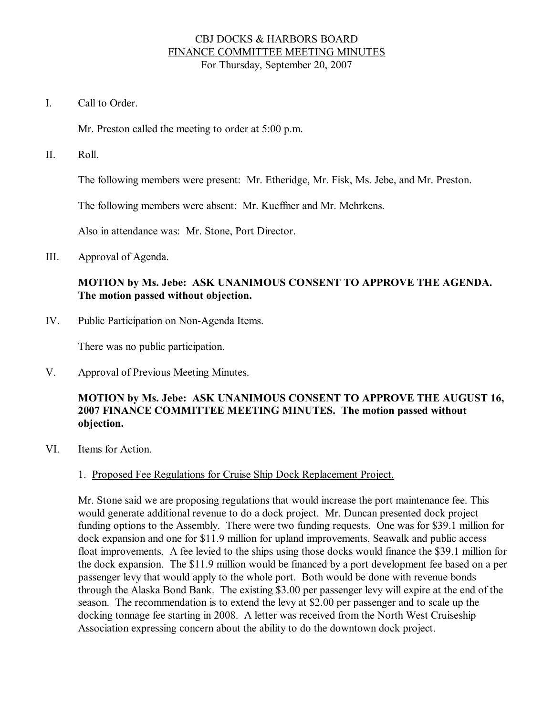## CBJ DOCKS & HARBORS BOARD FINANCE COMMITTEE MEETING MINUTES For Thursday, September 20, 2007

I. Call to Order

Mr. Preston called the meeting to order at 5:00 p.m.

II. Roll.

The following members were present: Mr. Etheridge, Mr. Fisk, Ms. Jebe, and Mr. Preston.

The following members were absent: Mr. Kueffner and Mr. Mehrkens.

Also in attendance was: Mr. Stone, Port Director.

III. Approval of Agenda.

## **MOTION by Ms. Jebe: ASK UNANIMOUS CONSENT TO APPROVE THE AGENDA. The motion passed without objection.**

IV. Public Participation on Non-Agenda Items.

There was no public participation.

V. Approval of Previous Meeting Minutes.

## **MOTION by Ms. Jebe: ASK UNANIMOUS CONSENT TO APPROVE THE AUGUST 16, 2007 FINANCE COMMITTEE MEETING MINUTES. The motion passed without objection.**

VI. Items for Action.

## 1. Proposed Fee Regulations for Cruise Ship Dock Replacement Project.

Mr. Stone said we are proposing regulations that would increase the port maintenance fee. This would generate additional revenue to do a dock project. Mr. Duncan presented dock project funding options to the Assembly. There were two funding requests. One was for \$39.1 million for dock expansion and one for \$11.9 million for upland improvements, Seawalk and public access float improvements. A fee levied to the ships using those docks would finance the \$39.1 million for the dock expansion. The \$11.9 million would be financed by a port development fee based on a per passenger levy that would apply to the whole port. Both would be done with revenue bonds through the Alaska Bond Bank. The existing \$3.00 per passenger levy will expire at the end of the season. The recommendation is to extend the levy at \$2.00 per passenger and to scale up the docking tonnage fee starting in 2008. A letter was received from the North West Cruiseship Association expressing concern about the ability to do the downtown dock project.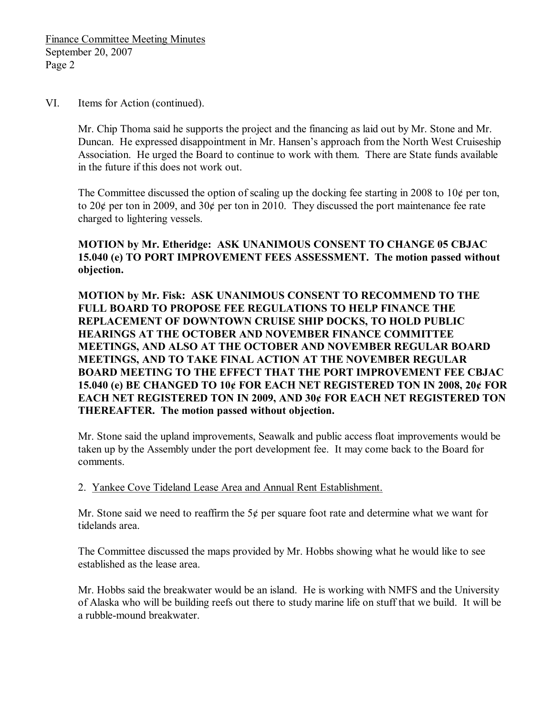#### VI. Items for Action (continued).

Mr. Chip Thoma said he supports the project and the financing as laid out by Mr. Stone and Mr. Duncan. He expressed disappointment in Mr. Hansen's approach from the North West Cruiseship Association. He urged the Board to continue to work with them. There are State funds available in the future if this does not work out.

The Committee discussed the option of scaling up the docking fee starting in 2008 to  $10¢$  per ton, to 20¢ per ton in 2009, and 30¢ per ton in 2010. They discussed the port maintenance fee rate charged to lightering vessels.

**MOTION by Mr. Etheridge: ASK UNANIMOUS CONSENT TO CHANGE 05 CBJAC 15.040 (e) TO PORT IMPROVEMENT FEES ASSESSMENT. The motion passed without objection.**

**MOTION by Mr. Fisk: ASK UNANIMOUS CONSENT TO RECOMMEND TO THE FULL BOARD TO PROPOSE FEE REGULATIONS TO HELP FINANCE THE REPLACEMENT OF DOWNTOWN CRUISE SHIP DOCKS, TO HOLD PUBLIC HEARINGS AT THE OCTOBER AND NOVEMBER FINANCE COMMITTEE MEETINGS, AND ALSO AT THE OCTOBER AND NOVEMBER REGULAR BOARD MEETINGS, AND TO TAKE FINAL ACTION AT THE NOVEMBER REGULAR BOARD MEETING TO THE EFFECT THAT THE PORT IMPROVEMENT FEE CBJAC 15.040 (e) BE CHANGED TO 10¢ FOR EACH NET REGISTERED TON IN 2008, 20¢ FOR EACH NET REGISTERED TON IN 2009, AND 30¢ FOR EACH NET REGISTERED TON THEREAFTER. The motion passed without objection.**

Mr. Stone said the upland improvements, Seawalk and public access float improvements would be taken up by the Assembly under the port development fee. It may come back to the Board for comments.

2. Yankee Cove Tideland Lease Area and Annual Rent Establishment.

Mr. Stone said we need to reaffirm the  $5¢$  per square foot rate and determine what we want for tidelands area.

The Committee discussed the maps provided by Mr. Hobbs showing what he would like to see established as the lease area.

Mr. Hobbs said the breakwater would be an island. He is working with NMFS and the University of Alaska who will be building reefs out there to study marine life on stuff that we build. It will be a rubble-mound breakwater.